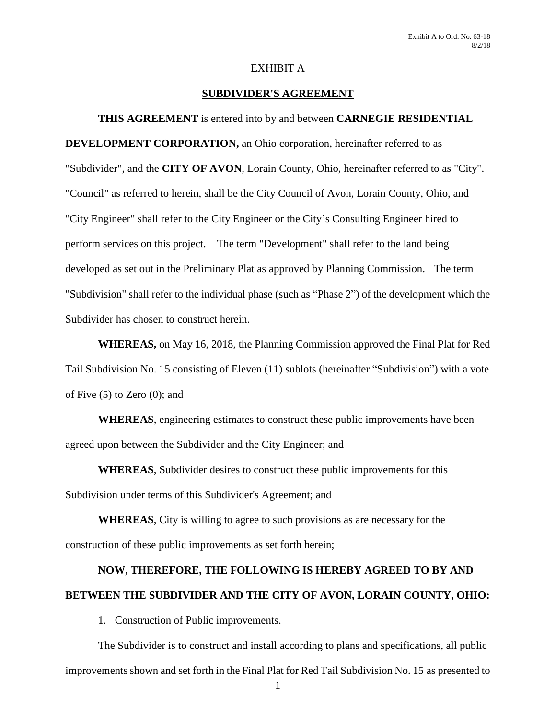# EXHIBIT A

# **SUBDIVIDER'S AGREEMENT**

**THIS AGREEMENT** is entered into by and between **CARNEGIE RESIDENTIAL DEVELOPMENT CORPORATION,** an Ohio corporation, hereinafter referred to as "Subdivider", and the **CITY OF AVON**, Lorain County, Ohio, hereinafter referred to as "City". "Council" as referred to herein, shall be the City Council of Avon, Lorain County, Ohio, and "City Engineer" shall refer to the City Engineer or the City's Consulting Engineer hired to perform services on this project. The term "Development" shall refer to the land being developed as set out in the Preliminary Plat as approved by Planning Commission. The term "Subdivision" shall refer to the individual phase (such as "Phase 2") of the development which the Subdivider has chosen to construct herein.

**WHEREAS,** on May 16, 2018, the Planning Commission approved the Final Plat for Red Tail Subdivision No. 15 consisting of Eleven (11) sublots (hereinafter "Subdivision") with a vote of Five (5) to Zero (0); and

**WHEREAS**, engineering estimates to construct these public improvements have been agreed upon between the Subdivider and the City Engineer; and

**WHEREAS**, Subdivider desires to construct these public improvements for this Subdivision under terms of this Subdivider's Agreement; and

**WHEREAS**, City is willing to agree to such provisions as are necessary for the construction of these public improvements as set forth herein;

# **NOW, THEREFORE, THE FOLLOWING IS HEREBY AGREED TO BY AND BETWEEN THE SUBDIVIDER AND THE CITY OF AVON, LORAIN COUNTY, OHIO:**

1. Construction of Public improvements.

The Subdivider is to construct and install according to plans and specifications, all public improvements shown and set forth in the Final Plat for Red Tail Subdivision No. 15 as presented to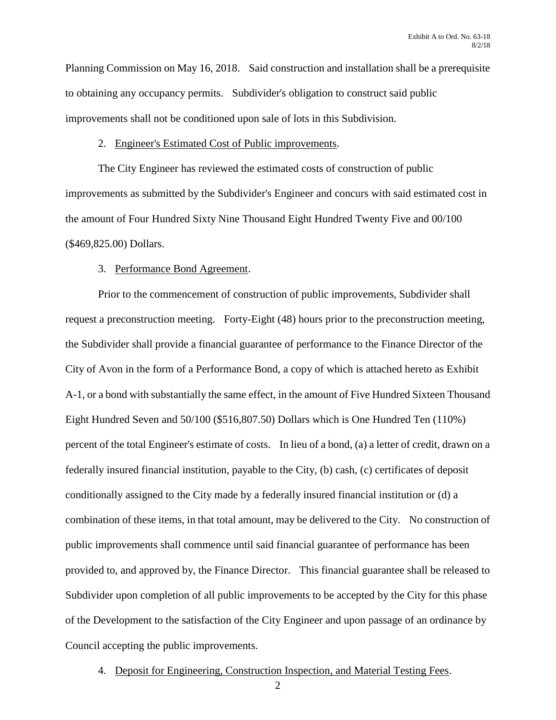Planning Commission on May 16, 2018. Said construction and installation shall be a prerequisite to obtaining any occupancy permits. Subdivider's obligation to construct said public improvements shall not be conditioned upon sale of lots in this Subdivision.

#### 2. Engineer's Estimated Cost of Public improvements.

The City Engineer has reviewed the estimated costs of construction of public improvements as submitted by the Subdivider's Engineer and concurs with said estimated cost in the amount of Four Hundred Sixty Nine Thousand Eight Hundred Twenty Five and 00/100 (\$469,825.00) Dollars.

### 3. Performance Bond Agreement.

Prior to the commencement of construction of public improvements, Subdivider shall request a preconstruction meeting. Forty-Eight (48) hours prior to the preconstruction meeting, the Subdivider shall provide a financial guarantee of performance to the Finance Director of the City of Avon in the form of a Performance Bond, a copy of which is attached hereto as Exhibit A-1, or a bond with substantially the same effect, in the amount of Five Hundred Sixteen Thousand Eight Hundred Seven and 50/100 (\$516,807.50) Dollars which is One Hundred Ten (110%) percent of the total Engineer's estimate of costs. In lieu of a bond, (a) a letter of credit, drawn on a federally insured financial institution, payable to the City, (b) cash, (c) certificates of deposit conditionally assigned to the City made by a federally insured financial institution or (d) a combination of these items, in that total amount, may be delivered to the City. No construction of public improvements shall commence until said financial guarantee of performance has been provided to, and approved by, the Finance Director. This financial guarantee shall be released to Subdivider upon completion of all public improvements to be accepted by the City for this phase of the Development to the satisfaction of the City Engineer and upon passage of an ordinance by Council accepting the public improvements.

4. Deposit for Engineering, Construction Inspection, and Material Testing Fees.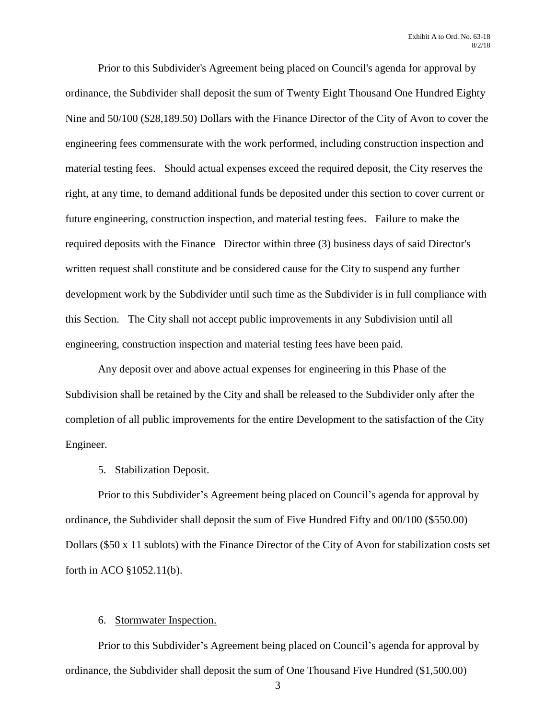Prior to this Subdivider's Agreement being placed on Council's agenda for approval by ordinance, the Subdivider shall deposit the sum of Twenty Eight Thousand One Hundred Eighty Nine and 50/100 (\$28,189.50) Dollars with the Finance Director of the City of Avon to cover the engineering fees commensurate with the work performed, including construction inspection and material testing fees. Should actual expenses exceed the required deposit, the City reserves the right, at any time, to demand additional funds be deposited under this section to cover current or future engineering, construction inspection, and material testing fees. Failure to make the required deposits with the Finance Director within three (3) business days of said Director's written request shall constitute and be considered cause for the City to suspend any further development work by the Subdivider until such time as the Subdivider is in full compliance with this Section. The City shall not accept public improvements in any Subdivision until all engineering, construction inspection and material testing fees have been paid.

Any deposit over and above actual expenses for engineering in this Phase of the Subdivision shall be retained by the City and shall be released to the Subdivider only after the completion of all public improvements for the entire Development to the satisfaction of the City Engineer.

# 5. Stabilization Deposit.

Prior to this Subdivider's Agreement being placed on Council's agenda for approval by ordinance, the Subdivider shall deposit the sum of Five Hundred Fifty and 00/100 (\$550.00) Dollars (\$50 x 11 sublots) with the Finance Director of the City of Avon for stabilization costs set forth in ACO §1052.11(b).

# 6. Stormwater Inspection.

Prior to this Subdivider's Agreement being placed on Council's agenda for approval by ordinance, the Subdivider shall deposit the sum of One Thousand Five Hundred (\$1,500.00)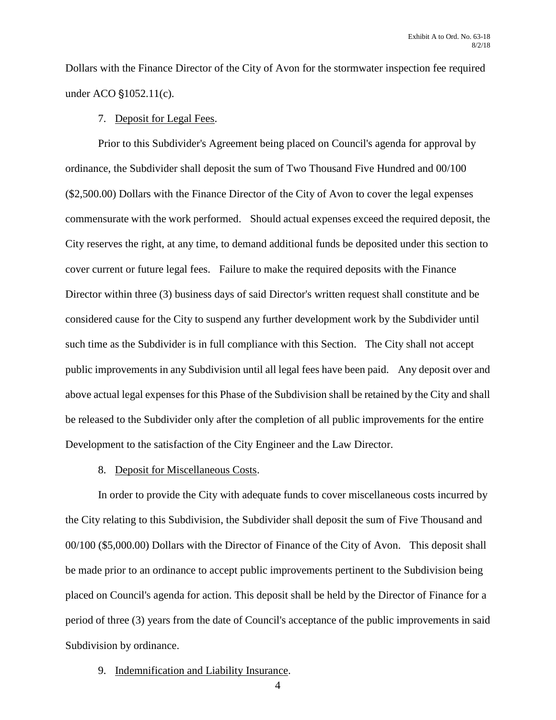Dollars with the Finance Director of the City of Avon for the stormwater inspection fee required under ACO  $$1052.11(c)$ .

### 7. Deposit for Legal Fees.

Prior to this Subdivider's Agreement being placed on Council's agenda for approval by ordinance, the Subdivider shall deposit the sum of Two Thousand Five Hundred and 00/100 (\$2,500.00) Dollars with the Finance Director of the City of Avon to cover the legal expenses commensurate with the work performed. Should actual expenses exceed the required deposit, the City reserves the right, at any time, to demand additional funds be deposited under this section to cover current or future legal fees. Failure to make the required deposits with the Finance Director within three (3) business days of said Director's written request shall constitute and be considered cause for the City to suspend any further development work by the Subdivider until such time as the Subdivider is in full compliance with this Section. The City shall not accept public improvements in any Subdivision until all legal fees have been paid. Any deposit over and above actual legal expenses for this Phase of the Subdivision shall be retained by the City and shall be released to the Subdivider only after the completion of all public improvements for the entire Development to the satisfaction of the City Engineer and the Law Director.

# 8. Deposit for Miscellaneous Costs.

In order to provide the City with adequate funds to cover miscellaneous costs incurred by the City relating to this Subdivision, the Subdivider shall deposit the sum of Five Thousand and 00/100 (\$5,000.00) Dollars with the Director of Finance of the City of Avon. This deposit shall be made prior to an ordinance to accept public improvements pertinent to the Subdivision being placed on Council's agenda for action. This deposit shall be held by the Director of Finance for a period of three (3) years from the date of Council's acceptance of the public improvements in said Subdivision by ordinance.

9. Indemnification and Liability Insurance.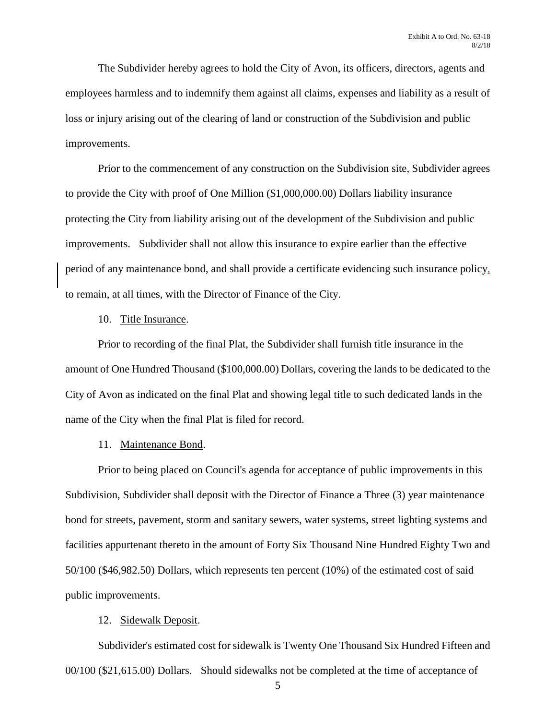The Subdivider hereby agrees to hold the City of Avon, its officers, directors, agents and employees harmless and to indemnify them against all claims, expenses and liability as a result of loss or injury arising out of the clearing of land or construction of the Subdivision and public improvements.

Prior to the commencement of any construction on the Subdivision site, Subdivider agrees to provide the City with proof of One Million (\$1,000,000.00) Dollars liability insurance protecting the City from liability arising out of the development of the Subdivision and public improvements. Subdivider shall not allow this insurance to expire earlier than the effective period of any maintenance bond, and shall provide a certificate evidencing such insurance policy, to remain, at all times, with the Director of Finance of the City.

# 10. Title Insurance.

Prior to recording of the final Plat, the Subdivider shall furnish title insurance in the amount of One Hundred Thousand (\$100,000.00) Dollars, covering the lands to be dedicated to the City of Avon as indicated on the final Plat and showing legal title to such dedicated lands in the name of the City when the final Plat is filed for record.

# 11. Maintenance Bond.

Prior to being placed on Council's agenda for acceptance of public improvements in this Subdivision, Subdivider shall deposit with the Director of Finance a Three (3) year maintenance bond for streets, pavement, storm and sanitary sewers, water systems, street lighting systems and facilities appurtenant thereto in the amount of Forty Six Thousand Nine Hundred Eighty Two and 50/100 (\$46,982.50) Dollars, which represents ten percent (10%) of the estimated cost of said public improvements.

# 12. Sidewalk Deposit.

Subdivider's estimated cost for sidewalk is Twenty One Thousand Six Hundred Fifteen and 00/100 (\$21,615.00) Dollars. Should sidewalks not be completed at the time of acceptance of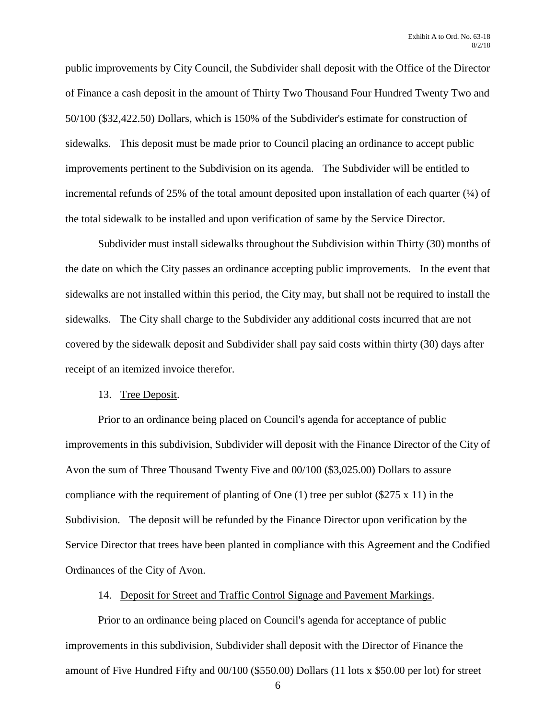public improvements by City Council, the Subdivider shall deposit with the Office of the Director of Finance a cash deposit in the amount of Thirty Two Thousand Four Hundred Twenty Two and 50/100 (\$32,422.50) Dollars, which is 150% of the Subdivider's estimate for construction of sidewalks. This deposit must be made prior to Council placing an ordinance to accept public improvements pertinent to the Subdivision on its agenda. The Subdivider will be entitled to incremental refunds of 25% of the total amount deposited upon installation of each quarter  $(\frac{1}{4})$  of the total sidewalk to be installed and upon verification of same by the Service Director.

Subdivider must install sidewalks throughout the Subdivision within Thirty (30) months of the date on which the City passes an ordinance accepting public improvements. In the event that sidewalks are not installed within this period, the City may, but shall not be required to install the sidewalks. The City shall charge to the Subdivider any additional costs incurred that are not covered by the sidewalk deposit and Subdivider shall pay said costs within thirty (30) days after receipt of an itemized invoice therefor.

# 13. Tree Deposit.

Prior to an ordinance being placed on Council's agenda for acceptance of public improvements in this subdivision, Subdivider will deposit with the Finance Director of the City of Avon the sum of Three Thousand Twenty Five and 00/100 (\$3,025.00) Dollars to assure compliance with the requirement of planting of One (1) tree per sublot (\$275 x 11) in the Subdivision. The deposit will be refunded by the Finance Director upon verification by the Service Director that trees have been planted in compliance with this Agreement and the Codified Ordinances of the City of Avon.

14. Deposit for Street and Traffic Control Signage and Pavement Markings.

Prior to an ordinance being placed on Council's agenda for acceptance of public improvements in this subdivision, Subdivider shall deposit with the Director of Finance the amount of Five Hundred Fifty and 00/100 (\$550.00) Dollars (11 lots x \$50.00 per lot) for street

<sup>6</sup>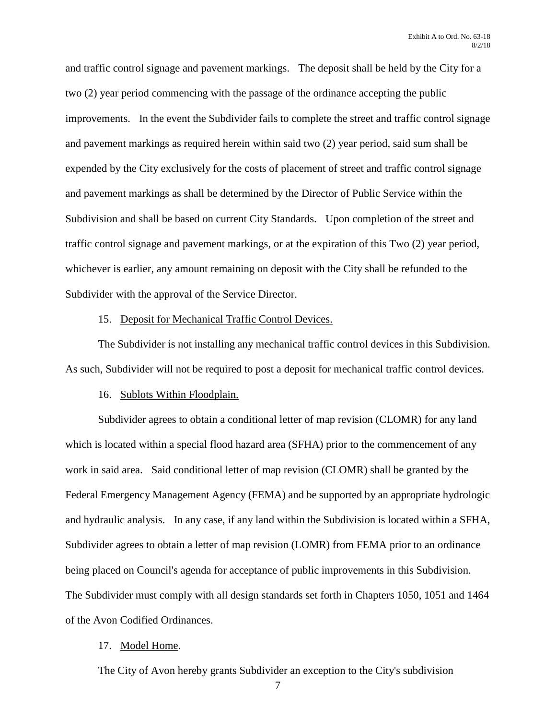and traffic control signage and pavement markings. The deposit shall be held by the City for a two (2) year period commencing with the passage of the ordinance accepting the public improvements. In the event the Subdivider fails to complete the street and traffic control signage and pavement markings as required herein within said two (2) year period, said sum shall be expended by the City exclusively for the costs of placement of street and traffic control signage and pavement markings as shall be determined by the Director of Public Service within the Subdivision and shall be based on current City Standards. Upon completion of the street and traffic control signage and pavement markings, or at the expiration of this Two (2) year period, whichever is earlier, any amount remaining on deposit with the City shall be refunded to the Subdivider with the approval of the Service Director.

#### 15. Deposit for Mechanical Traffic Control Devices.

The Subdivider is not installing any mechanical traffic control devices in this Subdivision. As such, Subdivider will not be required to post a deposit for mechanical traffic control devices.

# 16. Sublots Within Floodplain.

Subdivider agrees to obtain a conditional letter of map revision (CLOMR) for any land which is located within a special flood hazard area (SFHA) prior to the commencement of any work in said area. Said conditional letter of map revision (CLOMR) shall be granted by the Federal Emergency Management Agency (FEMA) and be supported by an appropriate hydrologic and hydraulic analysis. In any case, if any land within the Subdivision is located within a SFHA, Subdivider agrees to obtain a letter of map revision (LOMR) from FEMA prior to an ordinance being placed on Council's agenda for acceptance of public improvements in this Subdivision. The Subdivider must comply with all design standards set forth in Chapters 1050, 1051 and 1464 of the Avon Codified Ordinances.

#### 17. Model Home.

The City of Avon hereby grants Subdivider an exception to the City's subdivision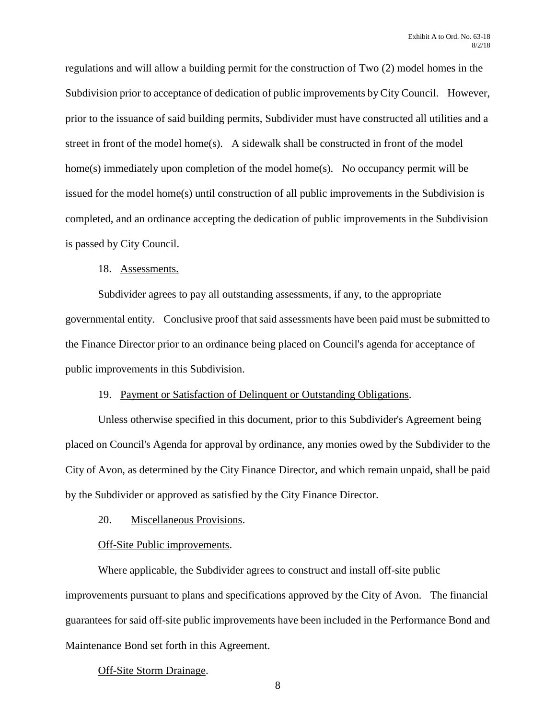regulations and will allow a building permit for the construction of Two (2) model homes in the Subdivision prior to acceptance of dedication of public improvements by City Council. However, prior to the issuance of said building permits, Subdivider must have constructed all utilities and a street in front of the model home(s). A sidewalk shall be constructed in front of the model home(s) immediately upon completion of the model home(s). No occupancy permit will be issued for the model home(s) until construction of all public improvements in the Subdivision is completed, and an ordinance accepting the dedication of public improvements in the Subdivision is passed by City Council.

# 18. Assessments.

Subdivider agrees to pay all outstanding assessments, if any, to the appropriate governmental entity. Conclusive proof that said assessments have been paid must be submitted to the Finance Director prior to an ordinance being placed on Council's agenda for acceptance of public improvements in this Subdivision.

# 19. Payment or Satisfaction of Delinquent or Outstanding Obligations.

Unless otherwise specified in this document, prior to this Subdivider's Agreement being placed on Council's Agenda for approval by ordinance, any monies owed by the Subdivider to the City of Avon, as determined by the City Finance Director, and which remain unpaid, shall be paid by the Subdivider or approved as satisfied by the City Finance Director.

# 20. Miscellaneous Provisions.

# Off-Site Public improvements.

Where applicable, the Subdivider agrees to construct and install off-site public improvements pursuant to plans and specifications approved by the City of Avon. The financial guarantees for said off-site public improvements have been included in the Performance Bond and Maintenance Bond set forth in this Agreement.

# Off-Site Storm Drainage.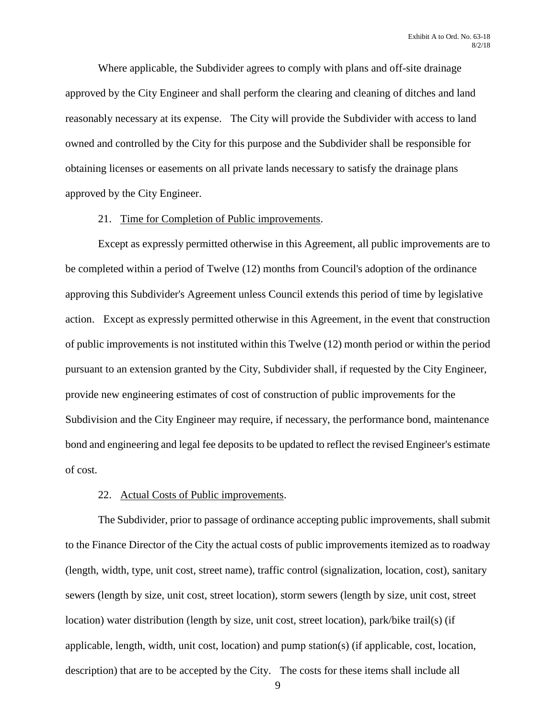Where applicable, the Subdivider agrees to comply with plans and off-site drainage approved by the City Engineer and shall perform the clearing and cleaning of ditches and land reasonably necessary at its expense. The City will provide the Subdivider with access to land owned and controlled by the City for this purpose and the Subdivider shall be responsible for obtaining licenses or easements on all private lands necessary to satisfy the drainage plans approved by the City Engineer.

#### 21. Time for Completion of Public improvements.

Except as expressly permitted otherwise in this Agreement, all public improvements are to be completed within a period of Twelve (12) months from Council's adoption of the ordinance approving this Subdivider's Agreement unless Council extends this period of time by legislative action. Except as expressly permitted otherwise in this Agreement, in the event that construction of public improvements is not instituted within this Twelve (12) month period or within the period pursuant to an extension granted by the City, Subdivider shall, if requested by the City Engineer, provide new engineering estimates of cost of construction of public improvements for the Subdivision and the City Engineer may require, if necessary, the performance bond, maintenance bond and engineering and legal fee deposits to be updated to reflect the revised Engineer's estimate of cost.

# 22. Actual Costs of Public improvements.

The Subdivider, prior to passage of ordinance accepting public improvements, shall submit to the Finance Director of the City the actual costs of public improvements itemized as to roadway (length, width, type, unit cost, street name), traffic control (signalization, location, cost), sanitary sewers (length by size, unit cost, street location), storm sewers (length by size, unit cost, street location) water distribution (length by size, unit cost, street location), park/bike trail(s) (if applicable, length, width, unit cost, location) and pump station(s) (if applicable, cost, location, description) that are to be accepted by the City. The costs for these items shall include all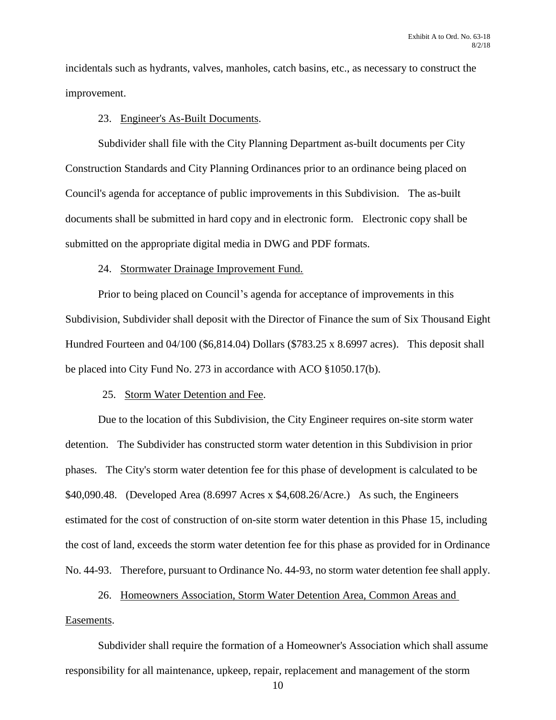incidentals such as hydrants, valves, manholes, catch basins, etc., as necessary to construct the improvement.

#### 23. Engineer's As-Built Documents.

Subdivider shall file with the City Planning Department as-built documents per City Construction Standards and City Planning Ordinances prior to an ordinance being placed on Council's agenda for acceptance of public improvements in this Subdivision. The as-built documents shall be submitted in hard copy and in electronic form. Electronic copy shall be submitted on the appropriate digital media in DWG and PDF formats.

### 24. Stormwater Drainage Improvement Fund.

Prior to being placed on Council's agenda for acceptance of improvements in this Subdivision, Subdivider shall deposit with the Director of Finance the sum of Six Thousand Eight Hundred Fourteen and 04/100 (\$6,814.04) Dollars (\$783.25 x 8.6997 acres). This deposit shall be placed into City Fund No. 273 in accordance with ACO §1050.17(b).

### 25. Storm Water Detention and Fee.

Due to the location of this Subdivision, the City Engineer requires on-site storm water detention. The Subdivider has constructed storm water detention in this Subdivision in prior phases. The City's storm water detention fee for this phase of development is calculated to be \$40,090.48. (Developed Area (8.6997 Acres x \$4,608.26/Acre.) As such, the Engineers estimated for the cost of construction of on-site storm water detention in this Phase 15, including the cost of land, exceeds the storm water detention fee for this phase as provided for in Ordinance No. 44-93. Therefore, pursuant to Ordinance No. 44-93, no storm water detention fee shall apply.

# 26. Homeowners Association, Storm Water Detention Area, Common Areas and

#### Easements.

Subdivider shall require the formation of a Homeowner's Association which shall assume responsibility for all maintenance, upkeep, repair, replacement and management of the storm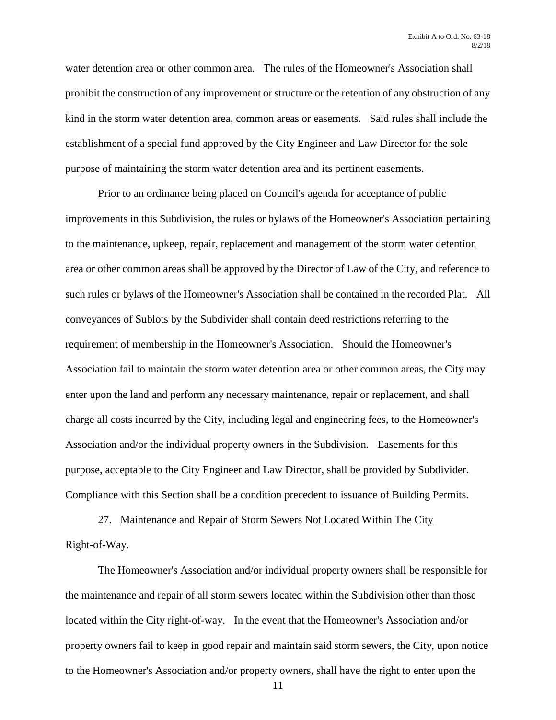water detention area or other common area. The rules of the Homeowner's Association shall prohibit the construction of any improvement or structure or the retention of any obstruction of any kind in the storm water detention area, common areas or easements. Said rules shall include the establishment of a special fund approved by the City Engineer and Law Director for the sole purpose of maintaining the storm water detention area and its pertinent easements.

Prior to an ordinance being placed on Council's agenda for acceptance of public improvements in this Subdivision, the rules or bylaws of the Homeowner's Association pertaining to the maintenance, upkeep, repair, replacement and management of the storm water detention area or other common areas shall be approved by the Director of Law of the City, and reference to such rules or bylaws of the Homeowner's Association shall be contained in the recorded Plat. All conveyances of Sublots by the Subdivider shall contain deed restrictions referring to the requirement of membership in the Homeowner's Association. Should the Homeowner's Association fail to maintain the storm water detention area or other common areas, the City may enter upon the land and perform any necessary maintenance, repair or replacement, and shall charge all costs incurred by the City, including legal and engineering fees, to the Homeowner's Association and/or the individual property owners in the Subdivision. Easements for this purpose, acceptable to the City Engineer and Law Director, shall be provided by Subdivider. Compliance with this Section shall be a condition precedent to issuance of Building Permits.

27. Maintenance and Repair of Storm Sewers Not Located Within The City Right-of-Way.

The Homeowner's Association and/or individual property owners shall be responsible for the maintenance and repair of all storm sewers located within the Subdivision other than those located within the City right-of-way. In the event that the Homeowner's Association and/or property owners fail to keep in good repair and maintain said storm sewers, the City, upon notice to the Homeowner's Association and/or property owners, shall have the right to enter upon the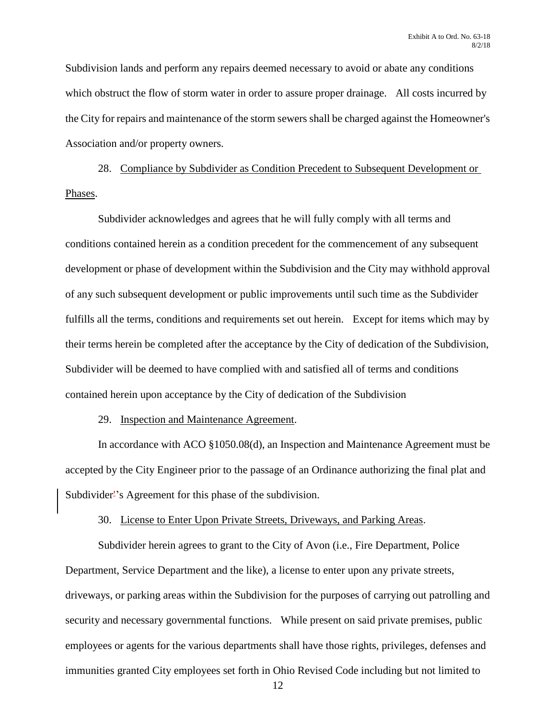Subdivision lands and perform any repairs deemed necessary to avoid or abate any conditions which obstruct the flow of storm water in order to assure proper drainage. All costs incurred by the City for repairs and maintenance of the storm sewers shall be charged against the Homeowner's Association and/or property owners.

28. Compliance by Subdivider as Condition Precedent to Subsequent Development or Phases.

Subdivider acknowledges and agrees that he will fully comply with all terms and conditions contained herein as a condition precedent for the commencement of any subsequent development or phase of development within the Subdivision and the City may withhold approval of any such subsequent development or public improvements until such time as the Subdivider fulfills all the terms, conditions and requirements set out herein. Except for items which may by their terms herein be completed after the acceptance by the City of dedication of the Subdivision, Subdivider will be deemed to have complied with and satisfied all of terms and conditions contained herein upon acceptance by the City of dedication of the Subdivision

29. Inspection and Maintenance Agreement.

In accordance with ACO §1050.08(d), an Inspection and Maintenance Agreement must be accepted by the City Engineer prior to the passage of an Ordinance authorizing the final plat and Subdivider<sup>2</sup>'s Agreement for this phase of the subdivision.

30. License to Enter Upon Private Streets, Driveways, and Parking Areas.

Subdivider herein agrees to grant to the City of Avon (i.e., Fire Department, Police Department, Service Department and the like), a license to enter upon any private streets, driveways, or parking areas within the Subdivision for the purposes of carrying out patrolling and security and necessary governmental functions. While present on said private premises, public employees or agents for the various departments shall have those rights, privileges, defenses and immunities granted City employees set forth in Ohio Revised Code including but not limited to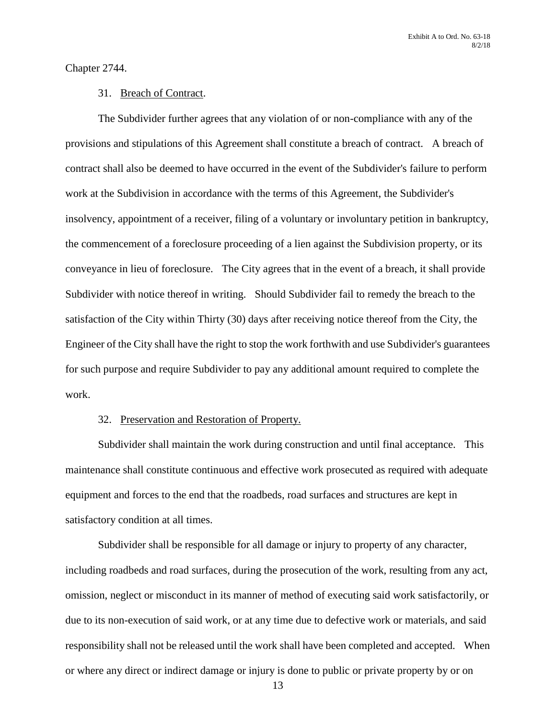Chapter 2744.

#### 31. Breach of Contract.

The Subdivider further agrees that any violation of or non-compliance with any of the provisions and stipulations of this Agreement shall constitute a breach of contract. A breach of contract shall also be deemed to have occurred in the event of the Subdivider's failure to perform work at the Subdivision in accordance with the terms of this Agreement, the Subdivider's insolvency, appointment of a receiver, filing of a voluntary or involuntary petition in bankruptcy, the commencement of a foreclosure proceeding of a lien against the Subdivision property, or its conveyance in lieu of foreclosure. The City agrees that in the event of a breach, it shall provide Subdivider with notice thereof in writing. Should Subdivider fail to remedy the breach to the satisfaction of the City within Thirty (30) days after receiving notice thereof from the City, the Engineer of the City shall have the right to stop the work forthwith and use Subdivider's guarantees for such purpose and require Subdivider to pay any additional amount required to complete the work.

# 32. Preservation and Restoration of Property.

Subdivider shall maintain the work during construction and until final acceptance. This maintenance shall constitute continuous and effective work prosecuted as required with adequate equipment and forces to the end that the roadbeds, road surfaces and structures are kept in satisfactory condition at all times.

Subdivider shall be responsible for all damage or injury to property of any character, including roadbeds and road surfaces, during the prosecution of the work, resulting from any act, omission, neglect or misconduct in its manner of method of executing said work satisfactorily, or due to its non-execution of said work, or at any time due to defective work or materials, and said responsibility shall not be released until the work shall have been completed and accepted. When or where any direct or indirect damage or injury is done to public or private property by or on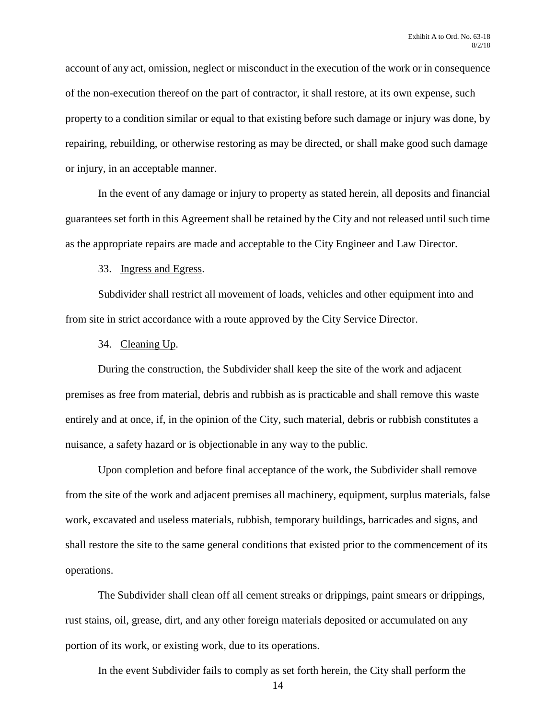account of any act, omission, neglect or misconduct in the execution of the work or in consequence of the non-execution thereof on the part of contractor, it shall restore, at its own expense, such property to a condition similar or equal to that existing before such damage or injury was done, by repairing, rebuilding, or otherwise restoring as may be directed, or shall make good such damage or injury, in an acceptable manner.

In the event of any damage or injury to property as stated herein, all deposits and financial guarantees set forth in this Agreement shall be retained by the City and not released until such time as the appropriate repairs are made and acceptable to the City Engineer and Law Director.

33. Ingress and Egress.

Subdivider shall restrict all movement of loads, vehicles and other equipment into and from site in strict accordance with a route approved by the City Service Director.

34. Cleaning Up.

During the construction, the Subdivider shall keep the site of the work and adjacent premises as free from material, debris and rubbish as is practicable and shall remove this waste entirely and at once, if, in the opinion of the City, such material, debris or rubbish constitutes a nuisance, a safety hazard or is objectionable in any way to the public.

Upon completion and before final acceptance of the work, the Subdivider shall remove from the site of the work and adjacent premises all machinery, equipment, surplus materials, false work, excavated and useless materials, rubbish, temporary buildings, barricades and signs, and shall restore the site to the same general conditions that existed prior to the commencement of its operations.

The Subdivider shall clean off all cement streaks or drippings, paint smears or drippings, rust stains, oil, grease, dirt, and any other foreign materials deposited or accumulated on any portion of its work, or existing work, due to its operations.

In the event Subdivider fails to comply as set forth herein, the City shall perform the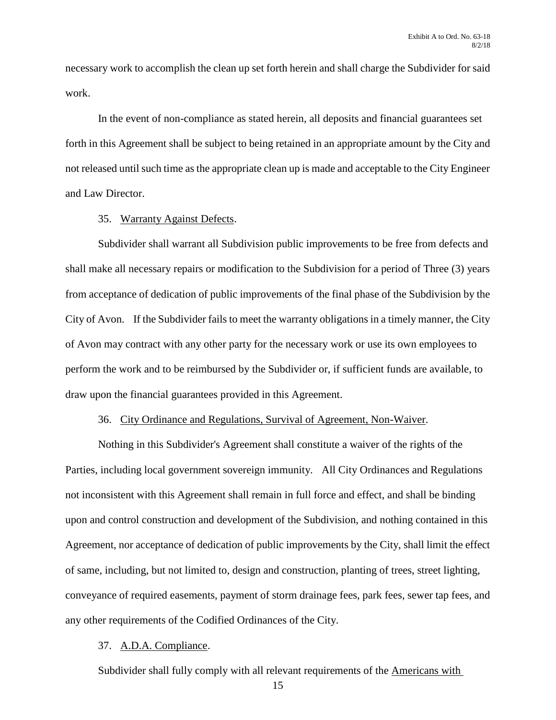necessary work to accomplish the clean up set forth herein and shall charge the Subdivider for said work.

In the event of non-compliance as stated herein, all deposits and financial guarantees set forth in this Agreement shall be subject to being retained in an appropriate amount by the City and not released until such time as the appropriate clean up is made and acceptable to the City Engineer and Law Director.

# 35. Warranty Against Defects.

Subdivider shall warrant all Subdivision public improvements to be free from defects and shall make all necessary repairs or modification to the Subdivision for a period of Three (3) years from acceptance of dedication of public improvements of the final phase of the Subdivision by the City of Avon. If the Subdivider fails to meet the warranty obligations in a timely manner, the City of Avon may contract with any other party for the necessary work or use its own employees to perform the work and to be reimbursed by the Subdivider or, if sufficient funds are available, to draw upon the financial guarantees provided in this Agreement.

#### 36. City Ordinance and Regulations, Survival of Agreement, Non-Waiver.

Nothing in this Subdivider's Agreement shall constitute a waiver of the rights of the Parties, including local government sovereign immunity. All City Ordinances and Regulations not inconsistent with this Agreement shall remain in full force and effect, and shall be binding upon and control construction and development of the Subdivision, and nothing contained in this Agreement, nor acceptance of dedication of public improvements by the City, shall limit the effect of same, including, but not limited to, design and construction, planting of trees, street lighting, conveyance of required easements, payment of storm drainage fees, park fees, sewer tap fees, and any other requirements of the Codified Ordinances of the City.

# 37. A.D.A. Compliance.

Subdivider shall fully comply with all relevant requirements of the Americans with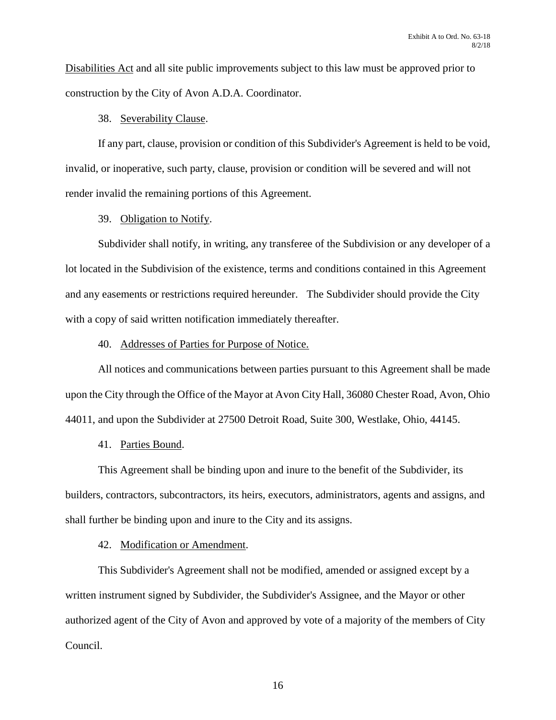Disabilities Act and all site public improvements subject to this law must be approved prior to construction by the City of Avon A.D.A. Coordinator.

# 38. Severability Clause.

If any part, clause, provision or condition of this Subdivider's Agreement is held to be void, invalid, or inoperative, such party, clause, provision or condition will be severed and will not render invalid the remaining portions of this Agreement.

# 39. Obligation to Notify.

Subdivider shall notify, in writing, any transferee of the Subdivision or any developer of a lot located in the Subdivision of the existence, terms and conditions contained in this Agreement and any easements or restrictions required hereunder. The Subdivider should provide the City with a copy of said written notification immediately thereafter.

# 40. Addresses of Parties for Purpose of Notice.

All notices and communications between parties pursuant to this Agreement shall be made upon the City through the Office of the Mayor at Avon City Hall, 36080 Chester Road, Avon, Ohio 44011, and upon the Subdivider at 27500 Detroit Road, Suite 300, Westlake, Ohio, 44145.

# 41. Parties Bound.

This Agreement shall be binding upon and inure to the benefit of the Subdivider, its builders, contractors, subcontractors, its heirs, executors, administrators, agents and assigns, and shall further be binding upon and inure to the City and its assigns.

# 42. Modification or Amendment.

This Subdivider's Agreement shall not be modified, amended or assigned except by a written instrument signed by Subdivider, the Subdivider's Assignee, and the Mayor or other authorized agent of the City of Avon and approved by vote of a majority of the members of City Council.